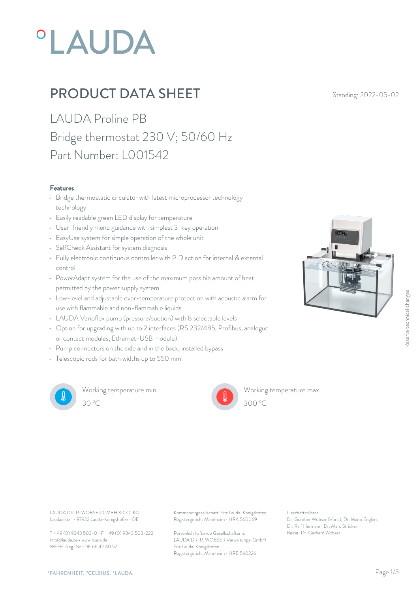# **°LAUDA**

## **PRODUCT DATA SHEET** Standing: 2022-05-02

LAUDA Proline PB Bridge thermostat 230 V; 50/60 Hz Part Number: L001542

#### Features

- Bridge thermostatic circulator with latest microprocessor technology technology
- Easily readable green LED display for temperature
- User-friendly menu guidance with simplest 3-key operation
- EasyUse system for simple operation of the whole unit
- SelfCheck Assistant for system diagnosis
- Fully electronic continuous controller with PID action for internal & external control
- PowerAdapt system for the use of the maximum possible amount of heat permitted by the power supply system
- Low-level and adjustable over-temperature protection with acoustic alarm for use with flammable and non-flammable liquids
- LAUDA Varioflex pump (pressure/suction) with 8 selectable levels
- Option for upgrading with up to 2 interfaces (RS 232/485, Profibus, analogue or contact modules, Ethernet-USB module)
- Pump connectors on the side and in the back, installed bypass
- Telescopic rods for bath widths up to 550 mm



Working temperature min. 30 °C 300 °C



Working temperature max.  $300^{\circ}$ C

Laudaplatz 1 • 97922 Lauda-Königshofen • DE

T + 49 (0) 9343 503-0 • F + 49 (0) 9343 503-222 info@lauda.de • www.lauda.de WEEE-Reg-Nr.: DE 66 42 40 57

LAUDA DR. R. WOBSER GMBH & CO. KG Kommanditgesellschaft: Sitz Lauda-Königshofen Geschäftsführer: Registergericht Mannheim • HRA 560069

> Persönlich haftende Gesellschafterin: Beirat: Dr. Gerhard Wobse LAUDA DR. R. WOBSER Verwaltungs-GmbH Sitz Lauda-Königshofen Registergericht Mannheim • HRB 560226

Geschäftsführer: Dr. Gunther Wobser (Vors.), Dr. Mario Englert, Dr. Ralf Hermann, Dr. Marc Stricker Beschäftsführer:<br>Beirature max.<br>Dr. Gunther Wobser (Vors.), Dr. Mario Englert,<br>Dr. Rafi Hermann, Dr. Marc Stricker<br>Beirat: Dr. Gerhard Wobser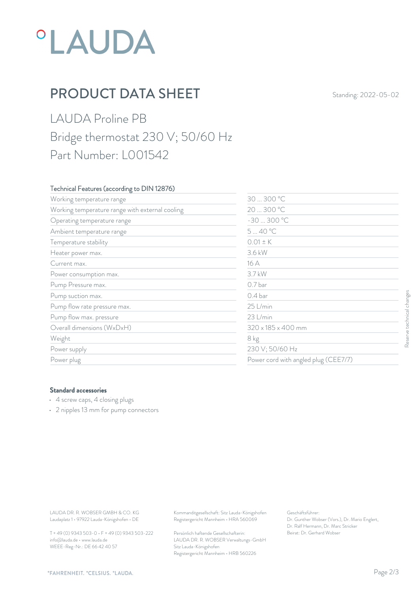## *°LAUDA*

## **PRODUCT DATA SHEET** Standing: 2022-05-02

#### LAUDA Proline PB Bridge thermostat 230 V; 50/60 Hz Part Number: L001542

#### Technical Features (according to DIN 12876)

| Working temperature range                                                                               | 30  300 °C                                                                             |                                                                                                           |                           |
|---------------------------------------------------------------------------------------------------------|----------------------------------------------------------------------------------------|-----------------------------------------------------------------------------------------------------------|---------------------------|
| Working temperature range with external cooling                                                         |                                                                                        | 20  300 °C                                                                                                |                           |
| Operating temperature range                                                                             | $-30300 °C$                                                                            |                                                                                                           |                           |
| Ambient temperature range                                                                               | 540 °C                                                                                 |                                                                                                           |                           |
| Temperature stability                                                                                   | $0.01 \pm K$                                                                           |                                                                                                           |                           |
| Heater power max.                                                                                       | 3.6 kW                                                                                 |                                                                                                           |                           |
| Current max.                                                                                            | 16 A                                                                                   |                                                                                                           |                           |
| Power consumption max.                                                                                  | 3.7 kW                                                                                 | 0.7 bar                                                                                                   |                           |
| Pump Pressure max.                                                                                      |                                                                                        |                                                                                                           |                           |
| Pump suction max.                                                                                       | 0.4 bar                                                                                |                                                                                                           |                           |
| Pump flow rate pressure max.                                                                            | 25 L/min                                                                               |                                                                                                           |                           |
| Pump flow max. pressure                                                                                 | 23 L/min                                                                               | 320 x 185 x 400 mm<br>8 kg<br>230 V; 50/60 Hz<br>Power cord with angled plug (CEE7/7)                     | Reserve technical changes |
| Overall dimensions (WxDxH)                                                                              |                                                                                        |                                                                                                           |                           |
| Weight                                                                                                  |                                                                                        |                                                                                                           |                           |
| Power supply                                                                                            |                                                                                        |                                                                                                           |                           |
| Power plug                                                                                              |                                                                                        |                                                                                                           |                           |
| <b>Standard accessories</b><br>• 4 screw caps, 4 closing plugs<br>• 2 nipples 13 mm for pump connectors |                                                                                        |                                                                                                           |                           |
|                                                                                                         |                                                                                        |                                                                                                           |                           |
| LAUDA DR. R. WOBSER GMBH & CO. KG<br>Laudaplatz 1 · 97922 Lauda-Königshofen · DE                        | Kommanditgesellschaft: Sitz Lauda-Königshofen<br>Registergericht Mannheim · HRA 560069 | Geschäftsführer:<br>Dr. Gunther Wobser (Vors.), Dr. Mario Englert,<br>Dr. Ralf Hermann, Dr. Marc Stricker |                           |
| T + 49 (0) 9343 503-0 · F + 49 (0) 9343 503-222                                                         | Persönlich haftende Gesellschafterin:                                                  | Beirat: Dr. Gerhard Wobser                                                                                |                           |

#### Standard accessories

- 4 screw caps, 4 closing plugs
- 2 nipples 13 mm for pump connectors

T + 49 (0) 9343 503-0 • F + 49 (0) 9343 503-222 info@lauda.de • www.lauda.de WEEE-Reg-Nr.: DE 66 42 40 57

> Persönlich haftende Gesellschafterin: Beirat: Dr. Gerhard Wobse LAUDA DR. R. WOBSER Verwaltungs-GmbH Sitz Lauda-Königshofen Registergericht Mannheim • HRB 560226